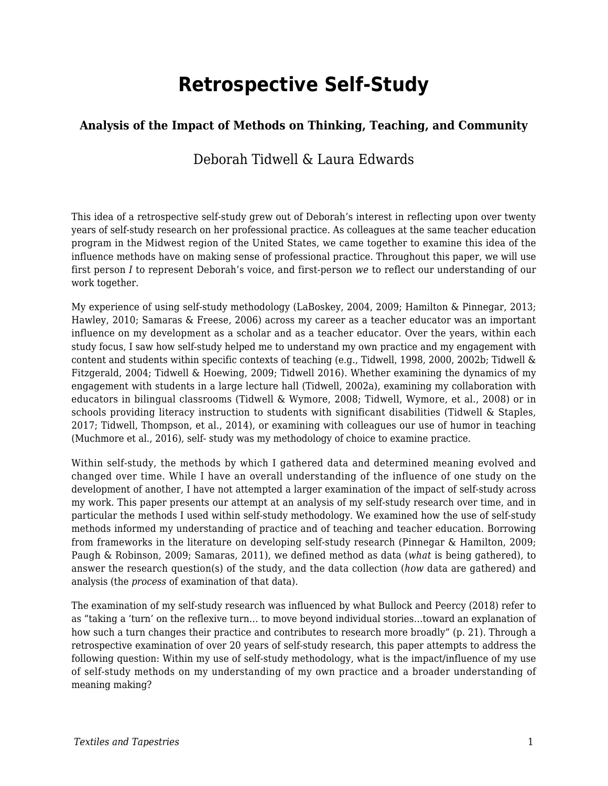# **Retrospective Self-Study**

#### **Analysis of the Impact of Methods on Thinking, Teaching, and Community**

#### Deborah Tidwell & Laura Edwards

This idea of a retrospective self-study grew out of Deborah's interest in reflecting upon over twenty years of self-study research on her professional practice. As colleagues at the same teacher education program in the Midwest region of the United States, we came together to examine this idea of the influence methods have on making sense of professional practice. Throughout this paper, we will use first person *I* to represent Deborah's voice, and first-person *we* to reflect our understanding of our work together.

My experience of using self-study methodology (LaBoskey, 2004, 2009; Hamilton & Pinnegar, 2013; Hawley, 2010; Samaras & Freese, 2006) across my career as a teacher educator was an important influence on my development as a scholar and as a teacher educator. Over the years, within each study focus, I saw how self-study helped me to understand my own practice and my engagement with content and students within specific contexts of teaching (e.g., Tidwell, 1998, 2000, 2002b; Tidwell & Fitzgerald, 2004; Tidwell & Hoewing, 2009; Tidwell 2016). Whether examining the dynamics of my engagement with students in a large lecture hall (Tidwell, 2002a), examining my collaboration with educators in bilingual classrooms (Tidwell & Wymore, 2008; Tidwell, Wymore, et al., 2008) or in schools providing literacy instruction to students with significant disabilities (Tidwell & Staples, 2017; Tidwell, Thompson, et al., 2014), or examining with colleagues our use of humor in teaching (Muchmore et al., 2016), self- study was my methodology of choice to examine practice.

Within self-study, the methods by which I gathered data and determined meaning evolved and changed over time. While I have an overall understanding of the influence of one study on the development of another, I have not attempted a larger examination of the impact of self-study across my work. This paper presents our attempt at an analysis of my self-study research over time, and in particular the methods I used within self-study methodology. We examined how the use of self-study methods informed my understanding of practice and of teaching and teacher education. Borrowing from frameworks in the literature on developing self-study research (Pinnegar & Hamilton, 2009; Paugh & Robinson, 2009; Samaras, 2011), we defined method as data (*what* is being gathered), to answer the research question(s) of the study, and the data collection (*how* data are gathered) and analysis (the *process* of examination of that data).

The examination of my self-study research was influenced by what Bullock and Peercy (2018) refer to as "taking a 'turn' on the reflexive turn… to move beyond individual stories…toward an explanation of how such a turn changes their practice and contributes to research more broadly" (p. 21). Through a retrospective examination of over 20 years of self-study research, this paper attempts to address the following question: Within my use of self-study methodology, what is the impact/influence of my use of self-study methods on my understanding of my own practice and a broader understanding of meaning making?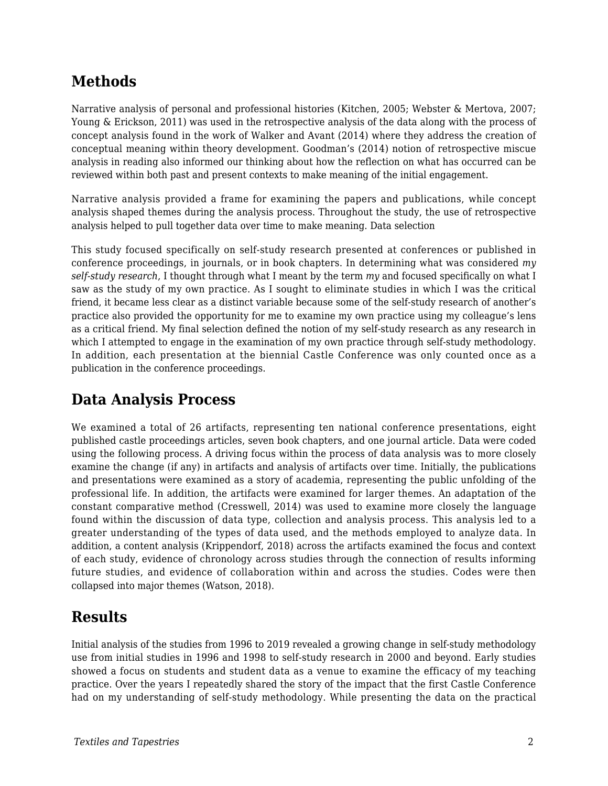## **Methods**

Narrative analysis of personal and professional histories (Kitchen, 2005; Webster & Mertova, 2007; Young & Erickson, 2011) was used in the retrospective analysis of the data along with the process of concept analysis found in the work of Walker and Avant (2014) where they address the creation of conceptual meaning within theory development. Goodman's (2014) notion of retrospective miscue analysis in reading also informed our thinking about how the reflection on what has occurred can be reviewed within both past and present contexts to make meaning of the initial engagement.

Narrative analysis provided a frame for examining the papers and publications, while concept analysis shaped themes during the analysis process. Throughout the study, the use of retrospective analysis helped to pull together data over time to make meaning. Data selection

This study focused specifically on self-study research presented at conferences or published in conference proceedings, in journals, or in book chapters. In determining what was considered *my self-study research*, I thought through what I meant by the term *my* and focused specifically on what I saw as the study of my own practice. As I sought to eliminate studies in which I was the critical friend, it became less clear as a distinct variable because some of the self-study research of another's practice also provided the opportunity for me to examine my own practice using my colleague's lens as a critical friend. My final selection defined the notion of my self-study research as any research in which I attempted to engage in the examination of my own practice through self-study methodology. In addition, each presentation at the biennial Castle Conference was only counted once as a publication in the conference proceedings.

#### **Data Analysis Process**

We examined a total of 26 artifacts, representing ten national conference presentations, eight published castle proceedings articles, seven book chapters, and one journal article. Data were coded using the following process. A driving focus within the process of data analysis was to more closely examine the change (if any) in artifacts and analysis of artifacts over time. Initially, the publications and presentations were examined as a story of academia, representing the public unfolding of the professional life. In addition, the artifacts were examined for larger themes. An adaptation of the constant comparative method (Cresswell, 2014) was used to examine more closely the language found within the discussion of data type, collection and analysis process. This analysis led to a greater understanding of the types of data used, and the methods employed to analyze data. In addition, a content analysis (Krippendorf, 2018) across the artifacts examined the focus and context of each study, evidence of chronology across studies through the connection of results informing future studies, and evidence of collaboration within and across the studies. Codes were then collapsed into major themes (Watson, 2018).

#### **Results**

Initial analysis of the studies from 1996 to 2019 revealed a growing change in self-study methodology use from initial studies in 1996 and 1998 to self-study research in 2000 and beyond. Early studies showed a focus on students and student data as a venue to examine the efficacy of my teaching practice. Over the years I repeatedly shared the story of the impact that the first Castle Conference had on my understanding of self-study methodology. While presenting the data on the practical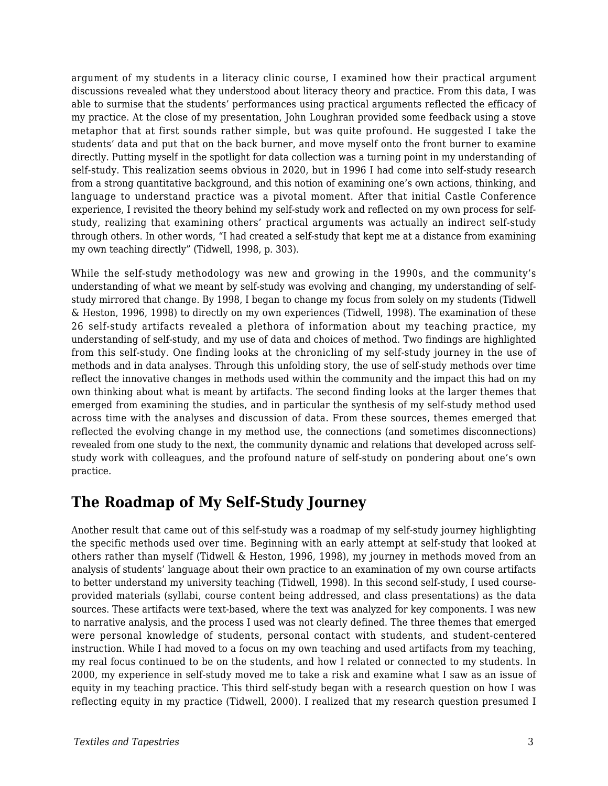argument of my students in a literacy clinic course, I examined how their practical argument discussions revealed what they understood about literacy theory and practice. From this data, I was able to surmise that the students' performances using practical arguments reflected the efficacy of my practice. At the close of my presentation, John Loughran provided some feedback using a stove metaphor that at first sounds rather simple, but was quite profound. He suggested I take the students' data and put that on the back burner, and move myself onto the front burner to examine directly. Putting myself in the spotlight for data collection was a turning point in my understanding of self-study. This realization seems obvious in 2020, but in 1996 I had come into self-study research from a strong quantitative background, and this notion of examining one's own actions, thinking, and language to understand practice was a pivotal moment. After that initial Castle Conference experience, I revisited the theory behind my self-study work and reflected on my own process for selfstudy, realizing that examining others' practical arguments was actually an indirect self-study through others. In other words, "I had created a self-study that kept me at a distance from examining my own teaching directly" (Tidwell, 1998, p. 303).

While the self-study methodology was new and growing in the 1990s, and the community's understanding of what we meant by self-study was evolving and changing, my understanding of selfstudy mirrored that change. By 1998, I began to change my focus from solely on my students (Tidwell & Heston, 1996, 1998) to directly on my own experiences (Tidwell, 1998). The examination of these 26 self-study artifacts revealed a plethora of information about my teaching practice, my understanding of self-study, and my use of data and choices of method. Two findings are highlighted from this self-study. One finding looks at the chronicling of my self-study journey in the use of methods and in data analyses. Through this unfolding story, the use of self-study methods over time reflect the innovative changes in methods used within the community and the impact this had on my own thinking about what is meant by artifacts. The second finding looks at the larger themes that emerged from examining the studies, and in particular the synthesis of my self-study method used across time with the analyses and discussion of data. From these sources, themes emerged that reflected the evolving change in my method use, the connections (and sometimes disconnections) revealed from one study to the next, the community dynamic and relations that developed across selfstudy work with colleagues, and the profound nature of self-study on pondering about one's own practice.

#### **The Roadmap of My Self-Study Journey**

Another result that came out of this self-study was a roadmap of my self-study journey highlighting the specific methods used over time. Beginning with an early attempt at self-study that looked at others rather than myself (Tidwell & Heston, 1996, 1998), my journey in methods moved from an analysis of students' language about their own practice to an examination of my own course artifacts to better understand my university teaching (Tidwell, 1998). In this second self-study, I used courseprovided materials (syllabi, course content being addressed, and class presentations) as the data sources. These artifacts were text-based, where the text was analyzed for key components. I was new to narrative analysis, and the process I used was not clearly defined. The three themes that emerged were personal knowledge of students, personal contact with students, and student-centered instruction. While I had moved to a focus on my own teaching and used artifacts from my teaching, my real focus continued to be on the students, and how I related or connected to my students. In 2000, my experience in self-study moved me to take a risk and examine what I saw as an issue of equity in my teaching practice. This third self-study began with a research question on how I was reflecting equity in my practice (Tidwell, 2000). I realized that my research question presumed I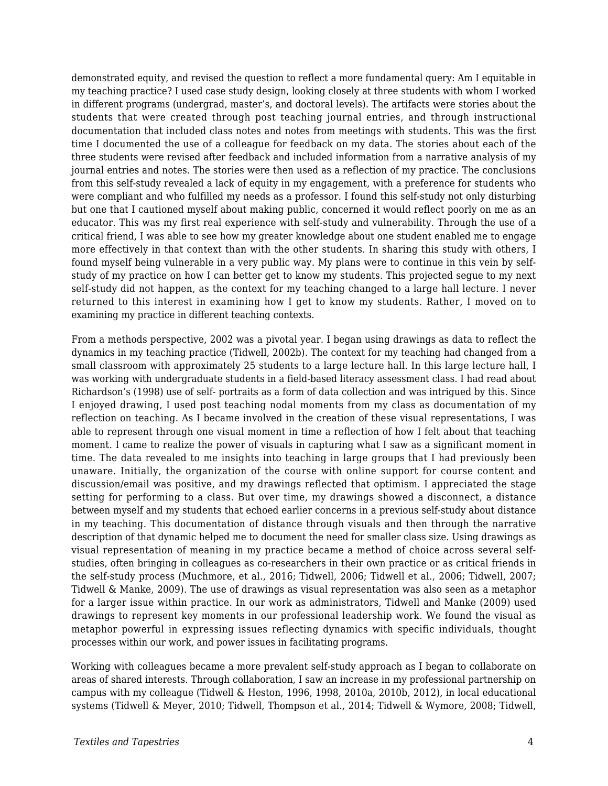demonstrated equity, and revised the question to reflect a more fundamental query: Am I equitable in my teaching practice? I used case study design, looking closely at three students with whom I worked in different programs (undergrad, master's, and doctoral levels). The artifacts were stories about the students that were created through post teaching journal entries, and through instructional documentation that included class notes and notes from meetings with students. This was the first time I documented the use of a colleague for feedback on my data. The stories about each of the three students were revised after feedback and included information from a narrative analysis of my journal entries and notes. The stories were then used as a reflection of my practice. The conclusions from this self-study revealed a lack of equity in my engagement, with a preference for students who were compliant and who fulfilled my needs as a professor. I found this self-study not only disturbing but one that I cautioned myself about making public, concerned it would reflect poorly on me as an educator. This was my first real experience with self-study and vulnerability. Through the use of a critical friend, I was able to see how my greater knowledge about one student enabled me to engage more effectively in that context than with the other students. In sharing this study with others, I found myself being vulnerable in a very public way. My plans were to continue in this vein by selfstudy of my practice on how I can better get to know my students. This projected segue to my next self-study did not happen, as the context for my teaching changed to a large hall lecture. I never returned to this interest in examining how I get to know my students. Rather, I moved on to examining my practice in different teaching contexts.

From a methods perspective, 2002 was a pivotal year. I began using drawings as data to reflect the dynamics in my teaching practice (Tidwell, 2002b). The context for my teaching had changed from a small classroom with approximately 25 students to a large lecture hall. In this large lecture hall, I was working with undergraduate students in a field-based literacy assessment class. I had read about Richardson's (1998) use of self- portraits as a form of data collection and was intrigued by this. Since I enjoyed drawing, I used post teaching nodal moments from my class as documentation of my reflection on teaching. As I became involved in the creation of these visual representations, I was able to represent through one visual moment in time a reflection of how I felt about that teaching moment. I came to realize the power of visuals in capturing what I saw as a significant moment in time. The data revealed to me insights into teaching in large groups that I had previously been unaware. Initially, the organization of the course with online support for course content and discussion/email was positive, and my drawings reflected that optimism. I appreciated the stage setting for performing to a class. But over time, my drawings showed a disconnect, a distance between myself and my students that echoed earlier concerns in a previous self-study about distance in my teaching. This documentation of distance through visuals and then through the narrative description of that dynamic helped me to document the need for smaller class size. Using drawings as visual representation of meaning in my practice became a method of choice across several selfstudies, often bringing in colleagues as co-researchers in their own practice or as critical friends in the self-study process (Muchmore, et al., 2016; Tidwell, 2006; Tidwell et al., 2006; Tidwell, 2007; Tidwell & Manke, 2009). The use of drawings as visual representation was also seen as a metaphor for a larger issue within practice. In our work as administrators, Tidwell and Manke (2009) used drawings to represent key moments in our professional leadership work. We found the visual as metaphor powerful in expressing issues reflecting dynamics with specific individuals, thought processes within our work, and power issues in facilitating programs.

Working with colleagues became a more prevalent self-study approach as I began to collaborate on areas of shared interests. Through collaboration, I saw an increase in my professional partnership on campus with my colleague (Tidwell & Heston, 1996, 1998, 2010a, 2010b, 2012), in local educational systems (Tidwell & Meyer, 2010; Tidwell, Thompson et al., 2014; Tidwell & Wymore, 2008; Tidwell,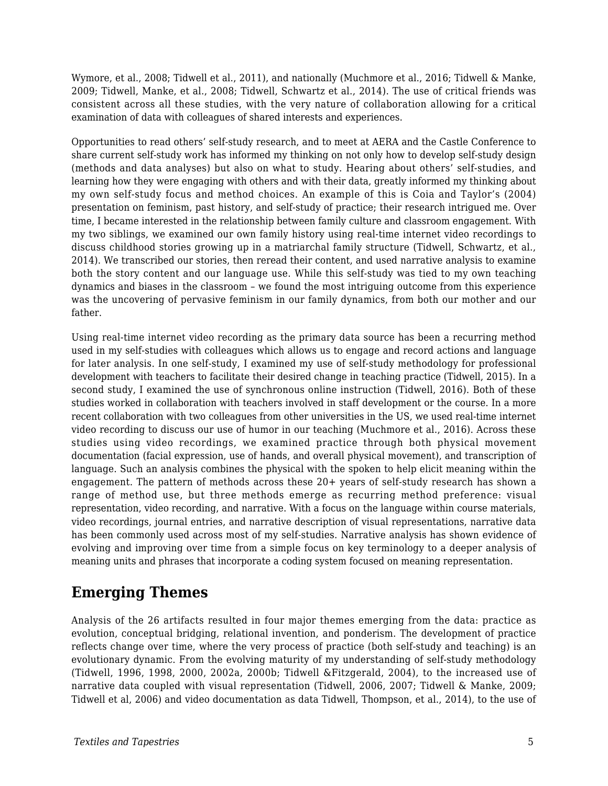Wymore, et al., 2008; Tidwell et al., 2011), and nationally (Muchmore et al., 2016; Tidwell & Manke, 2009; Tidwell, Manke, et al., 2008; Tidwell, Schwartz et al., 2014). The use of critical friends was consistent across all these studies, with the very nature of collaboration allowing for a critical examination of data with colleagues of shared interests and experiences.

Opportunities to read others' self-study research, and to meet at AERA and the Castle Conference to share current self-study work has informed my thinking on not only how to develop self-study design (methods and data analyses) but also on what to study. Hearing about others' self-studies, and learning how they were engaging with others and with their data, greatly informed my thinking about my own self-study focus and method choices. An example of this is Coia and Taylor's (2004) presentation on feminism, past history, and self-study of practice; their research intrigued me. Over time, I became interested in the relationship between family culture and classroom engagement. With my two siblings, we examined our own family history using real-time internet video recordings to discuss childhood stories growing up in a matriarchal family structure (Tidwell, Schwartz, et al., 2014). We transcribed our stories, then reread their content, and used narrative analysis to examine both the story content and our language use. While this self-study was tied to my own teaching dynamics and biases in the classroom – we found the most intriguing outcome from this experience was the uncovering of pervasive feminism in our family dynamics, from both our mother and our father.

Using real-time internet video recording as the primary data source has been a recurring method used in my self-studies with colleagues which allows us to engage and record actions and language for later analysis. In one self-study, I examined my use of self-study methodology for professional development with teachers to facilitate their desired change in teaching practice (Tidwell, 2015). In a second study, I examined the use of synchronous online instruction (Tidwell, 2016). Both of these studies worked in collaboration with teachers involved in staff development or the course. In a more recent collaboration with two colleagues from other universities in the US, we used real-time internet video recording to discuss our use of humor in our teaching (Muchmore et al., 2016). Across these studies using video recordings, we examined practice through both physical movement documentation (facial expression, use of hands, and overall physical movement), and transcription of language. Such an analysis combines the physical with the spoken to help elicit meaning within the engagement. The pattern of methods across these 20+ years of self-study research has shown a range of method use, but three methods emerge as recurring method preference: visual representation, video recording, and narrative. With a focus on the language within course materials, video recordings, journal entries, and narrative description of visual representations, narrative data has been commonly used across most of my self-studies. Narrative analysis has shown evidence of evolving and improving over time from a simple focus on key terminology to a deeper analysis of meaning units and phrases that incorporate a coding system focused on meaning representation.

## **Emerging Themes**

Analysis of the 26 artifacts resulted in four major themes emerging from the data: practice as evolution, conceptual bridging, relational invention, and ponderism. The development of practice reflects change over time, where the very process of practice (both self-study and teaching) is an evolutionary dynamic. From the evolving maturity of my understanding of self-study methodology (Tidwell, 1996, 1998, 2000, 2002a, 2000b; Tidwell &Fitzgerald, 2004), to the increased use of narrative data coupled with visual representation (Tidwell, 2006, 2007; Tidwell & Manke, 2009; Tidwell et al, 2006) and video documentation as data Tidwell, Thompson, et al., 2014), to the use of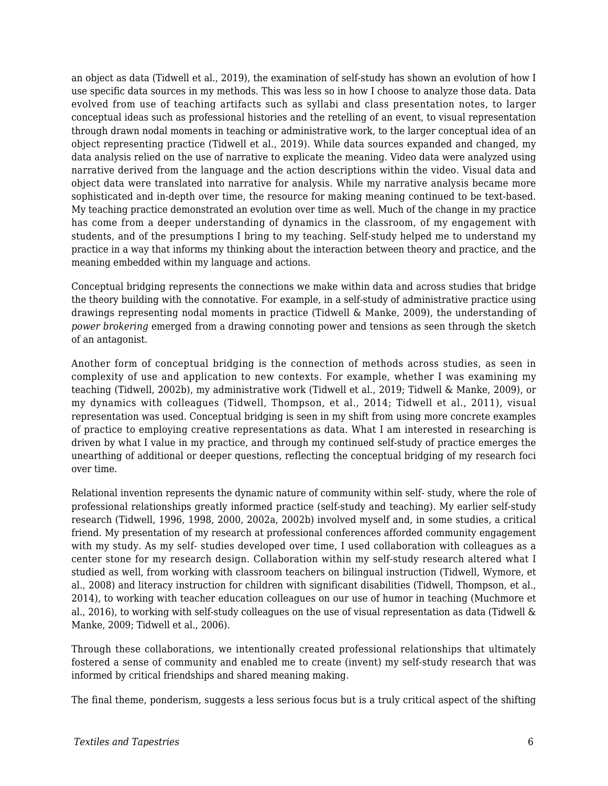an object as data (Tidwell et al., 2019), the examination of self-study has shown an evolution of how I use specific data sources in my methods. This was less so in how I choose to analyze those data. Data evolved from use of teaching artifacts such as syllabi and class presentation notes, to larger conceptual ideas such as professional histories and the retelling of an event, to visual representation through drawn nodal moments in teaching or administrative work, to the larger conceptual idea of an object representing practice (Tidwell et al., 2019). While data sources expanded and changed, my data analysis relied on the use of narrative to explicate the meaning. Video data were analyzed using narrative derived from the language and the action descriptions within the video. Visual data and object data were translated into narrative for analysis. While my narrative analysis became more sophisticated and in-depth over time, the resource for making meaning continued to be text-based. My teaching practice demonstrated an evolution over time as well. Much of the change in my practice has come from a deeper understanding of dynamics in the classroom, of my engagement with students, and of the presumptions I bring to my teaching. Self-study helped me to understand my practice in a way that informs my thinking about the interaction between theory and practice, and the meaning embedded within my language and actions.

Conceptual bridging represents the connections we make within data and across studies that bridge the theory building with the connotative. For example, in a self-study of administrative practice using drawings representing nodal moments in practice (Tidwell & Manke, 2009), the understanding of *power brokering* emerged from a drawing connoting power and tensions as seen through the sketch of an antagonist.

Another form of conceptual bridging is the connection of methods across studies, as seen in complexity of use and application to new contexts. For example, whether I was examining my teaching (Tidwell, 2002b), my administrative work (Tidwell et al., 2019; Tidwell & Manke, 2009), or my dynamics with colleagues (Tidwell, Thompson, et al., 2014; Tidwell et al., 2011), visual representation was used. Conceptual bridging is seen in my shift from using more concrete examples of practice to employing creative representations as data. What I am interested in researching is driven by what I value in my practice, and through my continued self-study of practice emerges the unearthing of additional or deeper questions, reflecting the conceptual bridging of my research foci over time.

Relational invention represents the dynamic nature of community within self- study, where the role of professional relationships greatly informed practice (self-study and teaching). My earlier self-study research (Tidwell, 1996, 1998, 2000, 2002a, 2002b) involved myself and, in some studies, a critical friend. My presentation of my research at professional conferences afforded community engagement with my study. As my self- studies developed over time, I used collaboration with colleagues as a center stone for my research design. Collaboration within my self-study research altered what I studied as well, from working with classroom teachers on bilingual instruction (Tidwell, Wymore, et al., 2008) and literacy instruction for children with significant disabilities (Tidwell, Thompson, et al., 2014), to working with teacher education colleagues on our use of humor in teaching (Muchmore et al., 2016), to working with self-study colleagues on the use of visual representation as data (Tidwell & Manke, 2009; Tidwell et al., 2006).

Through these collaborations, we intentionally created professional relationships that ultimately fostered a sense of community and enabled me to create (invent) my self-study research that was informed by critical friendships and shared meaning making.

The final theme, ponderism, suggests a less serious focus but is a truly critical aspect of the shifting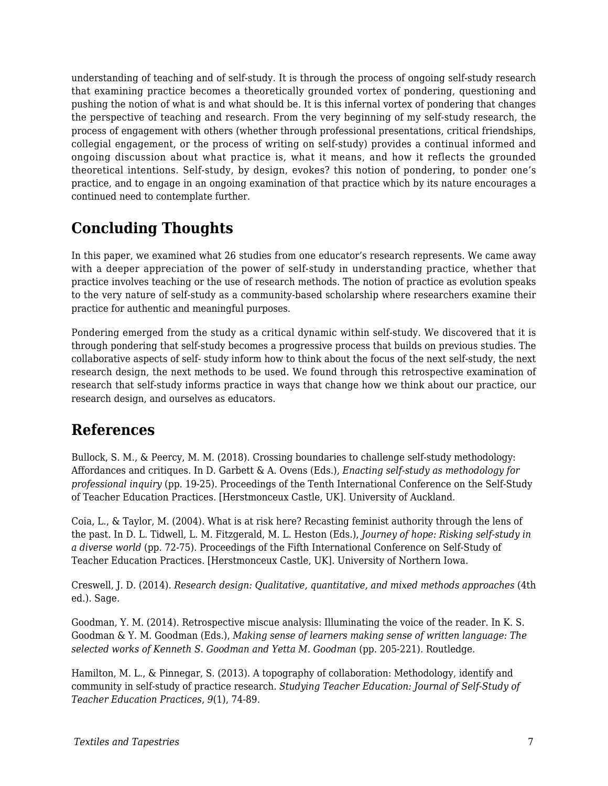understanding of teaching and of self-study. It is through the process of ongoing self-study research that examining practice becomes a theoretically grounded vortex of pondering, questioning and pushing the notion of what is and what should be. It is this infernal vortex of pondering that changes the perspective of teaching and research. From the very beginning of my self-study research, the process of engagement with others (whether through professional presentations, critical friendships, collegial engagement, or the process of writing on self-study) provides a continual informed and ongoing discussion about what practice is, what it means, and how it reflects the grounded theoretical intentions. Self-study, by design, evokes? this notion of pondering, to ponder one's practice, and to engage in an ongoing examination of that practice which by its nature encourages a continued need to contemplate further.

## **Concluding Thoughts**

In this paper, we examined what 26 studies from one educator's research represents. We came away with a deeper appreciation of the power of self-study in understanding practice, whether that practice involves teaching or the use of research methods. The notion of practice as evolution speaks to the very nature of self-study as a community-based scholarship where researchers examine their practice for authentic and meaningful purposes.

Pondering emerged from the study as a critical dynamic within self-study. We discovered that it is through pondering that self-study becomes a progressive process that builds on previous studies. The collaborative aspects of self- study inform how to think about the focus of the next self-study, the next research design, the next methods to be used. We found through this retrospective examination of research that self-study informs practice in ways that change how we think about our practice, our research design, and ourselves as educators.

#### **References**

Bullock, S. M., & Peercy, M. M. (2018). Crossing boundaries to challenge self-study methodology: Affordances and critiques. In D. Garbett & A. Ovens (Eds.), *Enacting self-study as methodology for professional inquiry* (pp. 19-25). Proceedings of the Tenth International Conference on the Self-Study of Teacher Education Practices. [Herstmonceux Castle, UK]. University of Auckland.

Coia, L., & Taylor, M. (2004). What is at risk here? Recasting feminist authority through the lens of the past. In D. L. Tidwell, L. M. Fitzgerald, M. L. Heston (Eds.), *Journey of hope: Risking self-study in a diverse world* (pp. 72-75). Proceedings of the Fifth International Conference on Self-Study of Teacher Education Practices. [Herstmonceux Castle, UK]. University of Northern Iowa.

Creswell, J. D. (2014). *Research design: Qualitative, quantitative, and mixed methods approaches* (4th ed.). Sage.

Goodman, Y. M. (2014). Retrospective miscue analysis: Illuminating the voice of the reader. In K. S. Goodman & Y. M. Goodman (Eds.), *Making sense of learners making sense of written language: The selected works of Kenneth S. Goodman and Yetta M. Goodman* (pp. 205-221). Routledge.

Hamilton, M. L., & Pinnegar, S. (2013). A topography of collaboration: Methodology, identify and community in self-study of practice research. *Studying Teacher Education: Journal of Self-Study of Teacher Education Practices*, *9*(1), 74-89.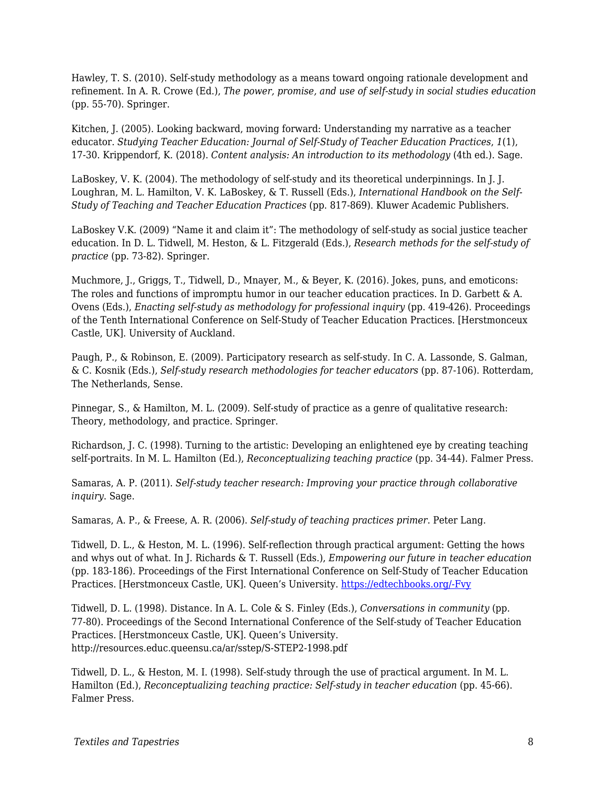Hawley, T. S. (2010). Self-study methodology as a means toward ongoing rationale development and refinement. In A. R. Crowe (Ed.), *The power, promise, and use of self-study in social studies education* (pp. 55-70). Springer.

Kitchen, J. (2005). Looking backward, moving forward: Understanding my narrative as a teacher educator. *Studying Teacher Education: Journal of Self-Study of Teacher Education Practices*, *1*(1), 17-30. Krippendorf, K. (2018). *Content analysis: An introduction to its methodology* (4th ed.). Sage.

LaBoskey, V. K. (2004). The methodology of self-study and its theoretical underpinnings. In J. J. Loughran, M. L. Hamilton, V. K. LaBoskey, & T. Russell (Eds.), *International Handbook on the Self-Study of Teaching and Teacher Education Practices* (pp. 817-869). Kluwer Academic Publishers.

LaBoskey V.K. (2009) "Name it and claim it": The methodology of self-study as social justice teacher education. In D. L. Tidwell, M. Heston, & L. Fitzgerald (Eds.), *Research methods for the self-study of practice* (pp. 73-82). Springer.

Muchmore, J., Griggs, T., Tidwell, D., Mnayer, M., & Beyer, K. (2016). Jokes, puns, and emoticons: The roles and functions of impromptu humor in our teacher education practices. In D. Garbett & A. Ovens (Eds.), *Enacting self-study as methodology for professional inquiry* (pp. 419-426). Proceedings of the Tenth International Conference on Self-Study of Teacher Education Practices. [Herstmonceux Castle, UK]. University of Auckland.

Paugh, P., & Robinson, E. (2009). Participatory research as self-study. In C. A. Lassonde, S. Galman, & C. Kosnik (Eds.), *Self-study research methodologies for teacher educators* (pp. 87-106). Rotterdam, The Netherlands, Sense.

Pinnegar, S., & Hamilton, M. L. (2009). Self-study of practice as a genre of qualitative research: Theory, methodology, and practice. Springer.

Richardson, J. C. (1998). Turning to the artistic: Developing an enlightened eye by creating teaching self-portraits. In M. L. Hamilton (Ed.), *Reconceptualizing teaching practice* (pp. 34-44). Falmer Press.

Samaras, A. P. (2011). *Self-study teacher research: Improving your practice through collaborative inquiry*. Sage.

Samaras, A. P., & Freese, A. R. (2006). *Self-study of teaching practices primer*. Peter Lang.

Tidwell, D. L., & Heston, M. L. (1996). Self-reflection through practical argument: Getting the hows and whys out of what. In J. Richards & T. Russell (Eds.), *Empowering our future in teacher education* (pp. 183-186)*.* Proceedings of the First International Conference on Self-Study of Teacher Education Practices. [Herstmonceux Castle, UK]. Queen's University. [https://edtechbooks.org/-Fvy](http://resources.educ.queensu.ca/ar/sstep/S-STEP1-1996.pdf)

Tidwell, D. L. (1998). Distance. In A. L. Cole & S. Finley (Eds.), *Conversations in community* (pp. 77-80). Proceedings of the Second International Conference of the Self-study of Teacher Education Practices. [Herstmonceux Castle, UK]. Queen's University. http://resources.educ.queensu.ca/ar/sstep/S-STEP2-1998.pdf

Tidwell, D. L., & Heston, M. I. (1998). Self-study through the use of practical argument. In M. L. Hamilton (Ed.), *Reconceptualizing teaching practice: Self-study in teacher education* (pp. 45-66). Falmer Press.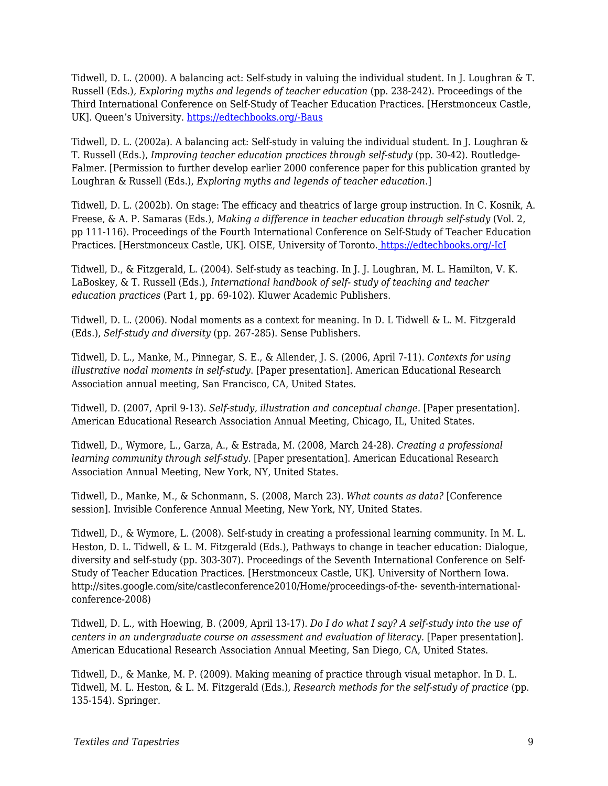Tidwell, D. L. (2000). A balancing act: Self-study in valuing the individual student. In J. Loughran & T. Russell (Eds.)*, Exploring myths and legends of teacher education* (pp. 238-242). Proceedings of the Third International Conference on Self-Study of Teacher Education Practices. [Herstmonceux Castle, UK]. Queen's University. [https://edtechbooks.org/-Baus](http://resources.educ.queensu.ca/ar/sstep/S-STEP3-2000.pdf)

Tidwell, D. L. (2002a). A balancing act: Self-study in valuing the individual student. In J. Loughran & T. Russell (Eds.), *Improving teacher education practices through self-study* (pp. 30-42). Routledge-Falmer. [Permission to further develop earlier 2000 conference paper for this publication granted by Loughran & Russell (Eds.), *Exploring myths and legends of teacher education*.]

Tidwell, D. L. (2002b). On stage: The efficacy and theatrics of large group instruction. In C. Kosnik, A. Freese, & A. P. Samaras (Eds.), *Making a difference in teacher education through self-study* (Vol. 2, pp 111-116). Proceedings of the Fourth International Conference on Self-Study of Teacher Education Practices. [Herstmonceux Castle, UK]. OISE, University of Toronto. [https://edtechbooks.org/-IcI](http://resources.educ.queensu.ca/ar/sstep/S-STEP4-2002b.pdf)

Tidwell, D., & Fitzgerald, L. (2004). Self-study as teaching. In J. J. Loughran, M. L. Hamilton, V. K. LaBoskey, & T. Russell (Eds.), *International handbook of self- study of teaching and teacher education practices* (Part 1, pp. 69-102). Kluwer Academic Publishers.

Tidwell, D. L. (2006). Nodal moments as a context for meaning. In D. L Tidwell & L. M. Fitzgerald (Eds.), *Self-study and diversity* (pp. 267-285). Sense Publishers.

Tidwell, D. L., Manke, M., Pinnegar, S. E., & Allender, J. S. (2006, April 7-11). *Contexts for using illustrative nodal moments in self-study*. [Paper presentation]. American Educational Research Association annual meeting, San Francisco, CA, United States.

Tidwell, D. (2007, April 9-13). *Self-study, illustration and conceptual change.* [Paper presentation]. American Educational Research Association Annual Meeting, Chicago, IL, United States.

Tidwell, D., Wymore, L., Garza, A., & Estrada, M. (2008, March 24-28). *Creating a professional learning community through self-study.* [Paper presentation]. American Educational Research Association Annual Meeting, New York, NY, United States.

Tidwell, D., Manke, M., & Schonmann, S. (2008, March 23). *What counts as data?* [Conference session]. Invisible Conference Annual Meeting, New York, NY, United States.

Tidwell, D., & Wymore, L. (2008). Self-study in creating a professional learning community. In M. L. Heston, D. L. Tidwell, & L. M. Fitzgerald (Eds.), Pathways to change in teacher education: Dialogue, diversity and self-study (pp. 303-307). Proceedings of the Seventh International Conference on Self-Study of Teacher Education Practices. [Herstmonceux Castle, UK]. University of Northern Iowa. http://sites.google.com/site/castleconference2010/Home/proceedings-of-the- seventh-internationalconference-2008)

Tidwell, D. L., with Hoewing, B. (2009, April 13-17). *Do I do what I say? A self-study into the use of centers in an undergraduate course on assessment and evaluation of literacy.* [Paper presentation]. American Educational Research Association Annual Meeting, San Diego, CA, United States.

Tidwell, D., & Manke, M. P. (2009). Making meaning of practice through visual metaphor. In D. L. Tidwell, M. L. Heston, & L. M. Fitzgerald (Eds.), *Research methods for the self-study of practice* (pp. 135-154)*.* Springer.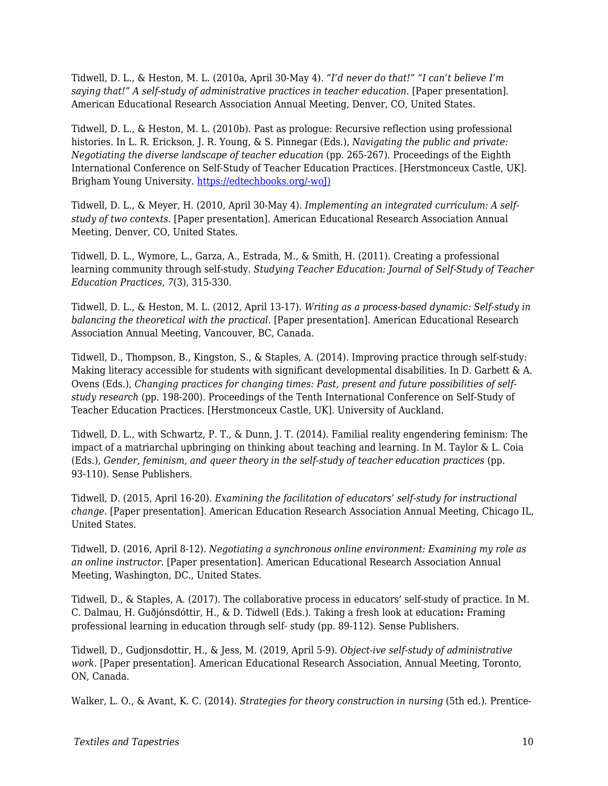Tidwell, D. L., & Heston, M. L. (2010a, April 30-May 4). *"I'd never do that!" "I can't believe I'm saying that!" A self-study of administrative practices in teacher education.* [Paper presentation]. American Educational Research Association Annual Meeting, Denver, CO, United States.

Tidwell, D. L., & Heston, M. L. (2010b). Past as prologue: Recursive reflection using professional histories. In L. R. Erickson, J. R. Young, & S. Pinnegar (Eds.), *Navigating the public and private: Negotiating the diverse landscape of teacher education* (pp. 265-267). Proceedings of the Eighth International Conference on Self-Study of Teacher Education Practices. [Herstmonceux Castle, UK]. Brigham Young University. [https://edtechbooks.org/-woJ\)](http://sites.google.com/site/castleconference2010/))

Tidwell, D. L., & Meyer, H. (2010, April 30-May 4). *Implementing an integrated curriculum: A selfstudy of two contexts.* [Paper presentation]. American Educational Research Association Annual Meeting, Denver, CO, United States.

Tidwell, D. L., Wymore, L., Garza, A., Estrada, M., & Smith, H. (2011). Creating a professional learning community through self-study. *Studying Teacher Education: Journal of Self-Study of Teacher Education Practices, 7*(3), 315-330.

Tidwell, D. L., & Heston, M. L. (2012, April 13-17). *Writing as a process-based dynamic: Self-study in balancing the theoretical with the practical.* [Paper presentation]. American Educational Research Association Annual Meeting, Vancouver, BC, Canada.

Tidwell, D., Thompson, B., Kingston, S., & Staples, A. (2014). Improving practice through self-study: Making literacy accessible for students with significant developmental disabilities. In D. Garbett & A. Ovens (Eds.), *Changing practices for changing times: Past, present and future possibilities of selfstudy research* (pp. 198-200)*.* Proceedings of the Tenth International Conference on Self-Study of Teacher Education Practices. [Herstmonceux Castle, UK]. University of Auckland.

Tidwell, D. L., with Schwartz, P. T., & Dunn, J. T. (2014). Familial reality engendering feminism: The impact of a matriarchal upbringing on thinking about teaching and learning. In M. Taylor & L. Coia (Eds.), *Gender, feminism, and queer theory in the self-study of teacher education practices* (pp. 93-110)*.* Sense Publishers.

Tidwell, D. (2015, April 16-20). *Examining the facilitation of educators' self-study for instructional change.* [Paper presentation]. American Education Research Association Annual Meeting, Chicago IL, United States.

Tidwell, D. (2016, April 8-12). *Negotiating a synchronous online environment: Examining my role as an online instructor.* [Paper presentation]. American Educational Research Association Annual Meeting, Washington, DC., United States.

Tidwell, D., & Staples, A. (2017). The collaborative process in educators' self-study of practice. In M. C. Dalmau, H. Guðjónsdóttir, H., & D. Tidwell (Eds.). Taking a fresh look at education**:** Framing professional learning in education through self- study (pp. 89-112). Sense Publishers.

Tidwell, D., Gudjonsdottir, H., & Jess, M. (2019, April 5-9). *Object-ive self-study of administrative work*. [Paper presentation]. American Educational Research Association, Annual Meeting, Toronto, ON, Canada.

Walker, L. O., & Avant, K. C. (2014). *Strategies for theory construction in nursing* (5th ed.). Prentice-